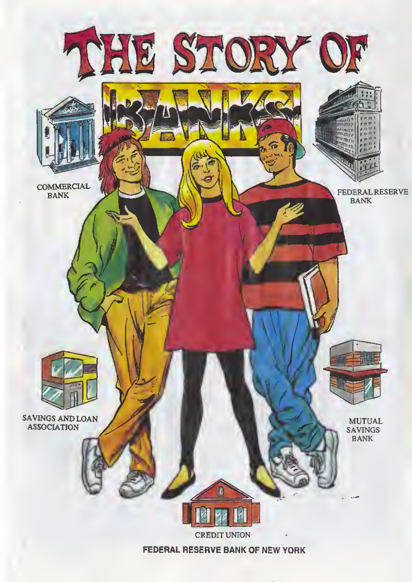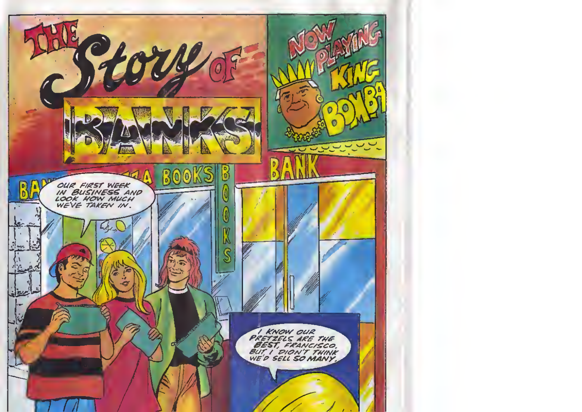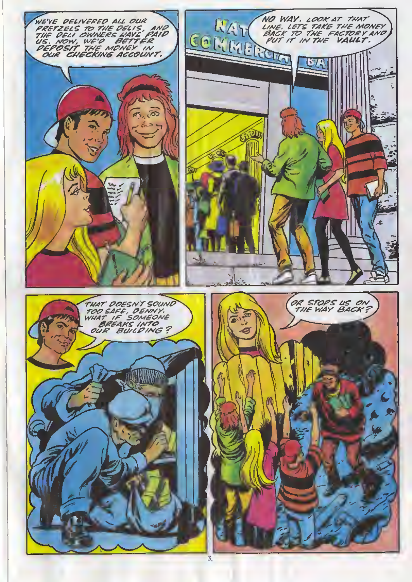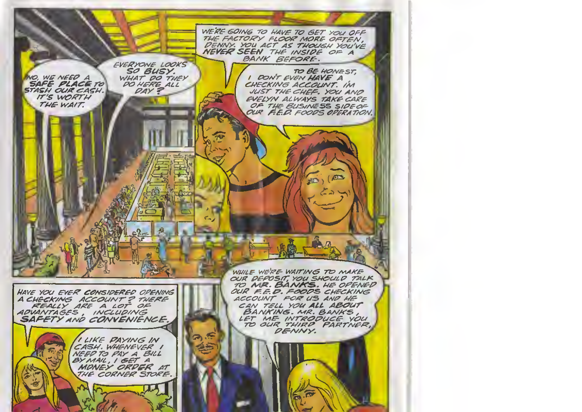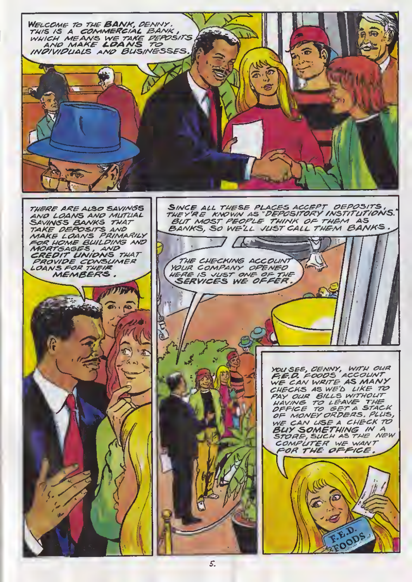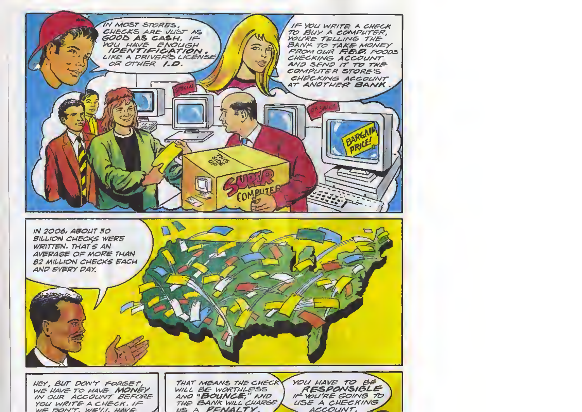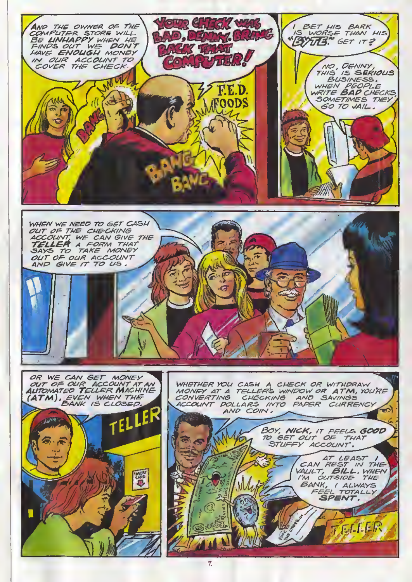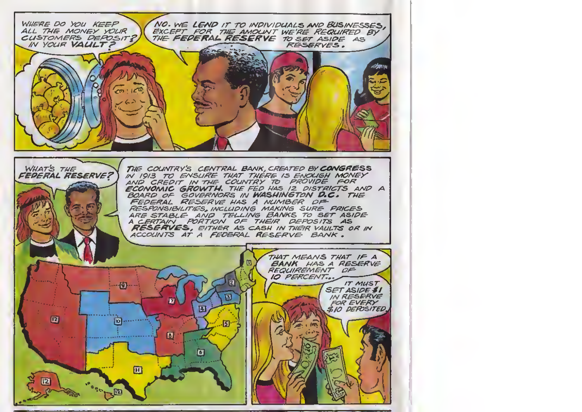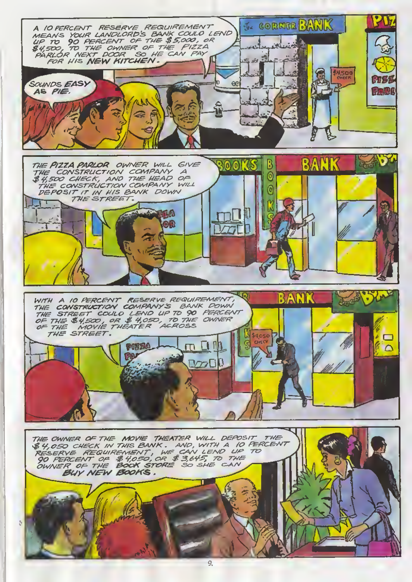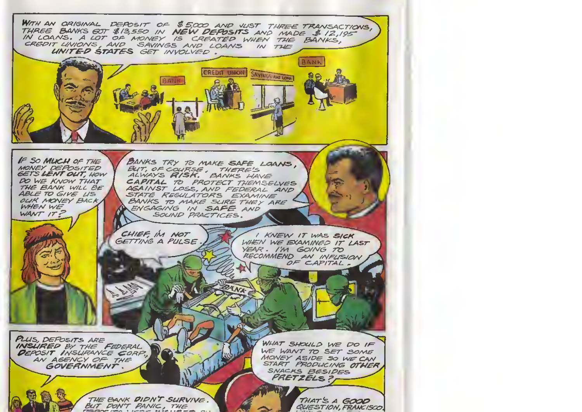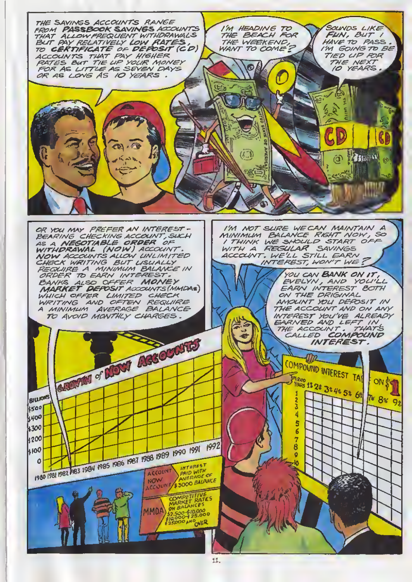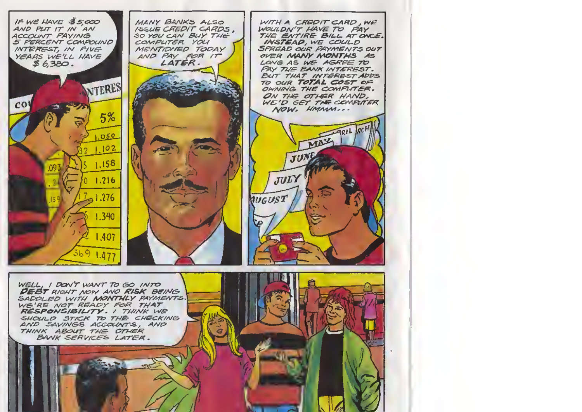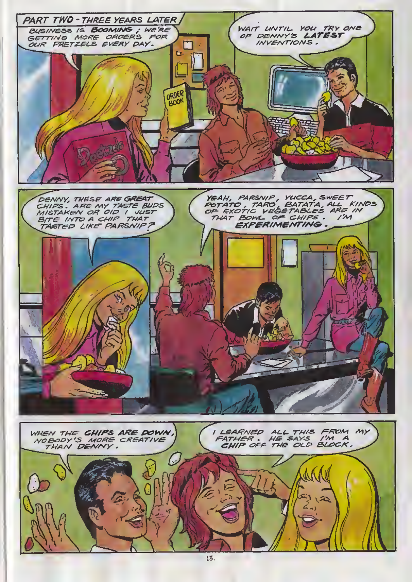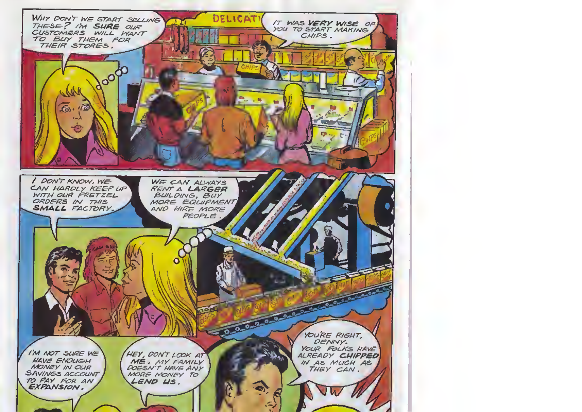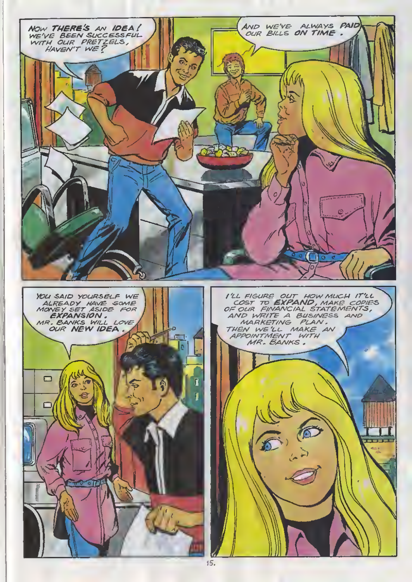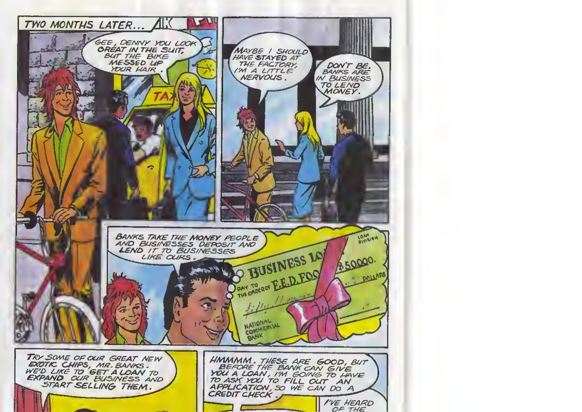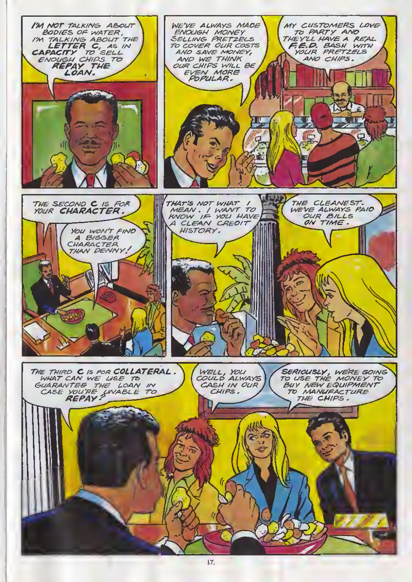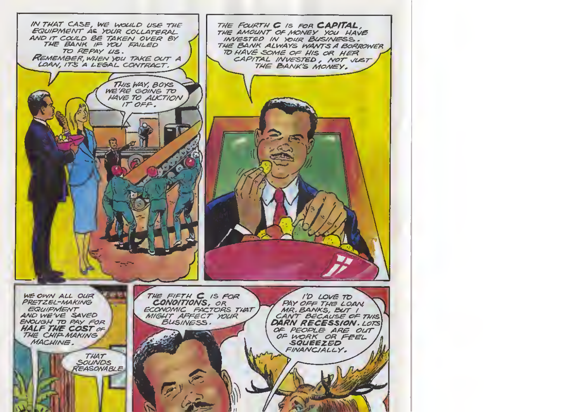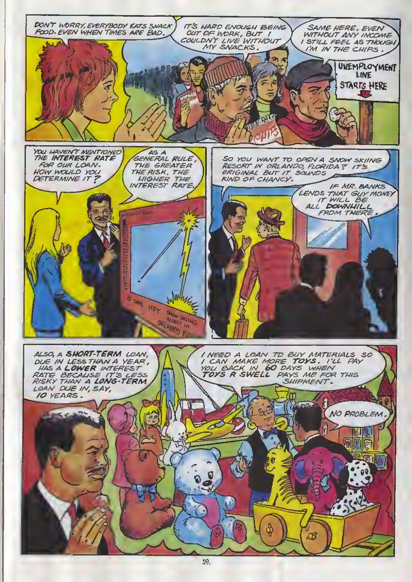

19.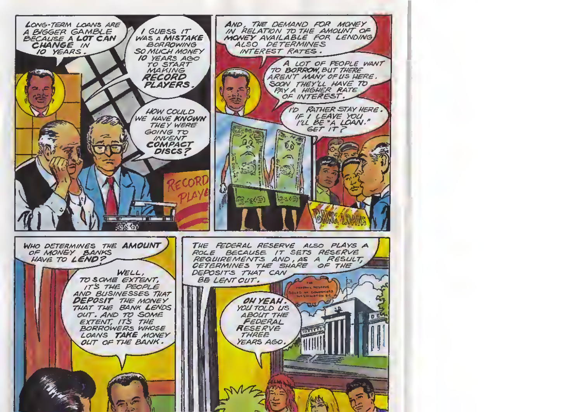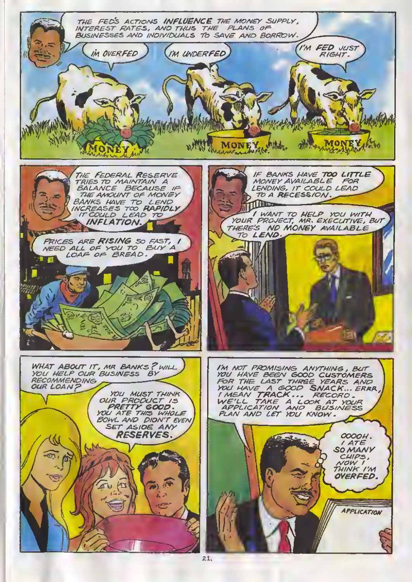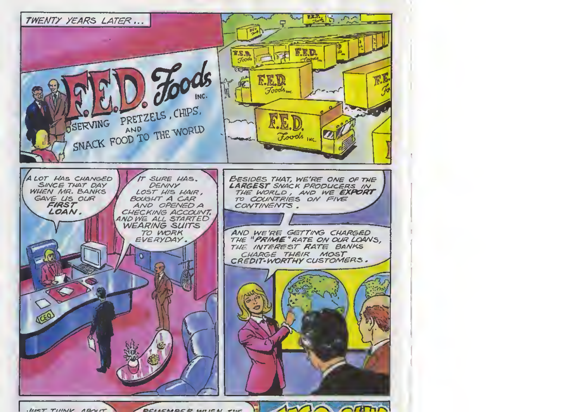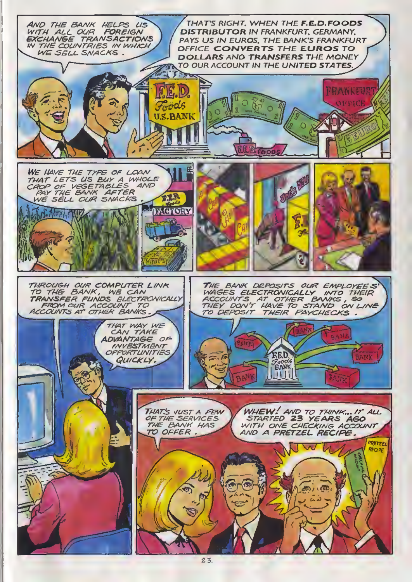

 $23.$